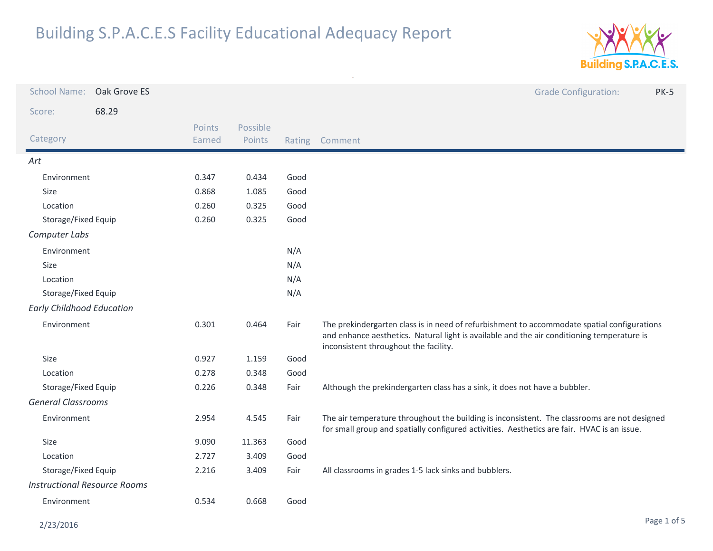

| <b>School Name:</b>                 | Oak Grove ES |                  |                    |        | <b>Grade Configuration:</b><br><b>PK-5</b>                                                                                                                                                                                         |
|-------------------------------------|--------------|------------------|--------------------|--------|------------------------------------------------------------------------------------------------------------------------------------------------------------------------------------------------------------------------------------|
| Score:                              | 68.29        |                  |                    |        |                                                                                                                                                                                                                                    |
| Category                            |              | Points<br>Earned | Possible<br>Points | Rating | Comment                                                                                                                                                                                                                            |
| Art                                 |              |                  |                    |        |                                                                                                                                                                                                                                    |
| Environment                         |              | 0.347            | 0.434              | Good   |                                                                                                                                                                                                                                    |
| Size                                |              | 0.868            | 1.085              | Good   |                                                                                                                                                                                                                                    |
| Location                            |              | 0.260            | 0.325              | Good   |                                                                                                                                                                                                                                    |
| Storage/Fixed Equip                 |              | 0.260            | 0.325              | Good   |                                                                                                                                                                                                                                    |
| Computer Labs                       |              |                  |                    |        |                                                                                                                                                                                                                                    |
| Environment                         |              |                  |                    | N/A    |                                                                                                                                                                                                                                    |
| Size                                |              |                  |                    | N/A    |                                                                                                                                                                                                                                    |
| Location                            |              |                  |                    | N/A    |                                                                                                                                                                                                                                    |
| Storage/Fixed Equip                 |              |                  |                    | N/A    |                                                                                                                                                                                                                                    |
| <b>Early Childhood Education</b>    |              |                  |                    |        |                                                                                                                                                                                                                                    |
| Environment                         |              | 0.301            | 0.464              | Fair   | The prekindergarten class is in need of refurbishment to accommodate spatial configurations<br>and enhance aesthetics. Natural light is available and the air conditioning temperature is<br>inconsistent throughout the facility. |
| Size                                |              | 0.927            | 1.159              | Good   |                                                                                                                                                                                                                                    |
| Location                            |              | 0.278            | 0.348              | Good   |                                                                                                                                                                                                                                    |
| Storage/Fixed Equip                 |              | 0.226            | 0.348              | Fair   | Although the prekindergarten class has a sink, it does not have a bubbler.                                                                                                                                                         |
| <b>General Classrooms</b>           |              |                  |                    |        |                                                                                                                                                                                                                                    |
| Environment                         |              | 2.954            | 4.545              | Fair   | The air temperature throughout the building is inconsistent. The classrooms are not designed<br>for small group and spatially configured activities. Aesthetics are fair. HVAC is an issue.                                        |
| <b>Size</b>                         |              | 9.090            | 11.363             | Good   |                                                                                                                                                                                                                                    |
| Location                            |              | 2.727            | 3.409              | Good   |                                                                                                                                                                                                                                    |
| Storage/Fixed Equip                 |              | 2.216            | 3.409              | Fair   | All classrooms in grades 1-5 lack sinks and bubblers.                                                                                                                                                                              |
| <b>Instructional Resource Rooms</b> |              |                  |                    |        |                                                                                                                                                                                                                                    |
| Environment                         |              | 0.534            | 0.668              | Good   |                                                                                                                                                                                                                                    |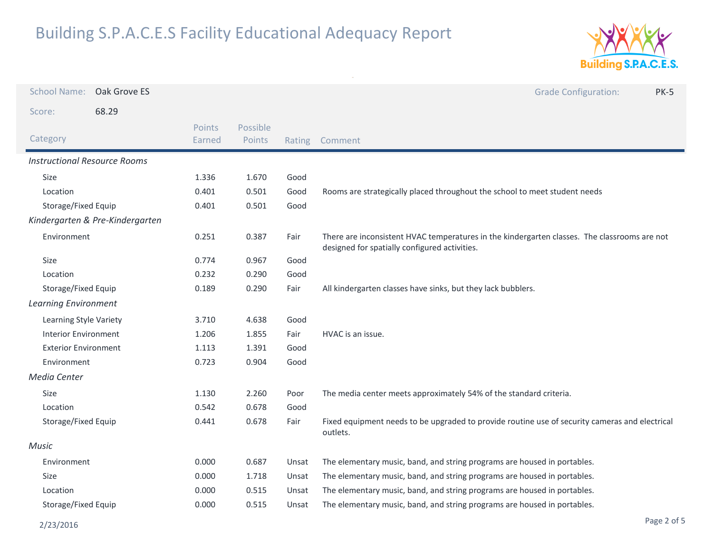

| <b>School Name:</b>                 | Oak Grove ES |                  |                    |        | <b>Grade Configuration:</b><br><b>PK-5</b>                                                                                                    |
|-------------------------------------|--------------|------------------|--------------------|--------|-----------------------------------------------------------------------------------------------------------------------------------------------|
| Score:                              | 68.29        |                  |                    |        |                                                                                                                                               |
| Category                            |              | Points<br>Earned | Possible<br>Points | Rating | Comment                                                                                                                                       |
| <b>Instructional Resource Rooms</b> |              |                  |                    |        |                                                                                                                                               |
| Size                                |              | 1.336            | 1.670              | Good   |                                                                                                                                               |
| Location                            |              | 0.401            | 0.501              | Good   | Rooms are strategically placed throughout the school to meet student needs                                                                    |
| Storage/Fixed Equip                 |              | 0.401            | 0.501              | Good   |                                                                                                                                               |
| Kindergarten & Pre-Kindergarten     |              |                  |                    |        |                                                                                                                                               |
| Environment                         |              | 0.251            | 0.387              | Fair   | There are inconsistent HVAC temperatures in the kindergarten classes. The classrooms are not<br>designed for spatially configured activities. |
| Size                                |              | 0.774            | 0.967              | Good   |                                                                                                                                               |
| Location                            |              | 0.232            | 0.290              | Good   |                                                                                                                                               |
| Storage/Fixed Equip                 |              | 0.189            | 0.290              | Fair   | All kindergarten classes have sinks, but they lack bubblers.                                                                                  |
| <b>Learning Environment</b>         |              |                  |                    |        |                                                                                                                                               |
| Learning Style Variety              |              | 3.710            | 4.638              | Good   |                                                                                                                                               |
| <b>Interior Environment</b>         |              | 1.206            | 1.855              | Fair   | HVAC is an issue.                                                                                                                             |
| <b>Exterior Environment</b>         |              | 1.113            | 1.391              | Good   |                                                                                                                                               |
| Environment                         |              | 0.723            | 0.904              | Good   |                                                                                                                                               |
| Media Center                        |              |                  |                    |        |                                                                                                                                               |
| Size                                |              | 1.130            | 2.260              | Poor   | The media center meets approximately 54% of the standard criteria.                                                                            |
| Location                            |              | 0.542            | 0.678              | Good   |                                                                                                                                               |
| Storage/Fixed Equip                 |              | 0.441            | 0.678              | Fair   | Fixed equipment needs to be upgraded to provide routine use of security cameras and electrical<br>outlets.                                    |
| <b>Music</b>                        |              |                  |                    |        |                                                                                                                                               |
| Environment                         |              | 0.000            | 0.687              | Unsat  | The elementary music, band, and string programs are housed in portables.                                                                      |
| Size                                |              | 0.000            | 1.718              | Unsat  | The elementary music, band, and string programs are housed in portables.                                                                      |
| Location                            |              | 0.000            | 0.515              | Unsat  | The elementary music, band, and string programs are housed in portables.                                                                      |
| Storage/Fixed Equip                 |              | 0.000            | 0.515              | Unsat  | The elementary music, band, and string programs are housed in portables.                                                                      |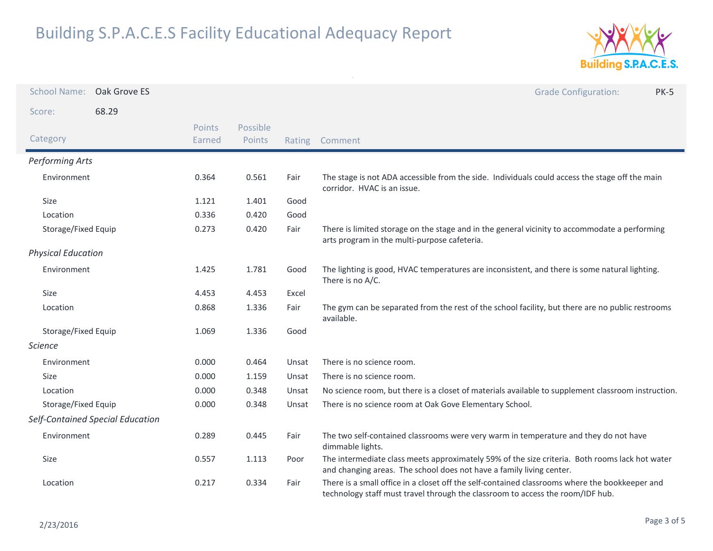

| <b>School Name:</b>       | Oak Grove ES                     |                  |                    |        | <b>Grade Configuration:</b><br><b>PK-5</b>                                                                                                                                       |
|---------------------------|----------------------------------|------------------|--------------------|--------|----------------------------------------------------------------------------------------------------------------------------------------------------------------------------------|
| Score:                    | 68.29                            |                  |                    |        |                                                                                                                                                                                  |
| Category                  |                                  | Points<br>Earned | Possible<br>Points | Rating | Comment                                                                                                                                                                          |
| <b>Performing Arts</b>    |                                  |                  |                    |        |                                                                                                                                                                                  |
| Environment               |                                  | 0.364            | 0.561              | Fair   | The stage is not ADA accessible from the side. Individuals could access the stage off the main<br>corridor. HVAC is an issue.                                                    |
| Size                      |                                  | 1.121            | 1.401              | Good   |                                                                                                                                                                                  |
| Location                  |                                  | 0.336            | 0.420              | Good   |                                                                                                                                                                                  |
| Storage/Fixed Equip       |                                  | 0.273            | 0.420              | Fair   | There is limited storage on the stage and in the general vicinity to accommodate a performing<br>arts program in the multi-purpose cafeteria.                                    |
| <b>Physical Education</b> |                                  |                  |                    |        |                                                                                                                                                                                  |
| Environment               |                                  | 1.425            | 1.781              | Good   | The lighting is good, HVAC temperatures are inconsistent, and there is some natural lighting.<br>There is no A/C.                                                                |
| Size                      |                                  | 4.453            | 4.453              | Excel  |                                                                                                                                                                                  |
| Location                  |                                  | 0.868            | 1.336              | Fair   | The gym can be separated from the rest of the school facility, but there are no public restrooms<br>available.                                                                   |
| Storage/Fixed Equip       |                                  | 1.069            | 1.336              | Good   |                                                                                                                                                                                  |
| <b>Science</b>            |                                  |                  |                    |        |                                                                                                                                                                                  |
| Environment               |                                  | 0.000            | 0.464              | Unsat  | There is no science room.                                                                                                                                                        |
| Size                      |                                  | 0.000            | 1.159              | Unsat  | There is no science room.                                                                                                                                                        |
| Location                  |                                  | 0.000            | 0.348              | Unsat  | No science room, but there is a closet of materials available to supplement classroom instruction.                                                                               |
| Storage/Fixed Equip       |                                  | 0.000            | 0.348              | Unsat  | There is no science room at Oak Gove Elementary School.                                                                                                                          |
|                           | Self-Contained Special Education |                  |                    |        |                                                                                                                                                                                  |
| Environment               |                                  | 0.289            | 0.445              | Fair   | The two self-contained classrooms were very warm in temperature and they do not have<br>dimmable lights.                                                                         |
| Size                      |                                  | 0.557            | 1.113              | Poor   | The intermediate class meets approximately 59% of the size criteria. Both rooms lack hot water<br>and changing areas. The school does not have a family living center.           |
| Location                  |                                  | 0.217            | 0.334              | Fair   | There is a small office in a closet off the self-contained classrooms where the bookkeeper and<br>technology staff must travel through the classroom to access the room/IDF hub. |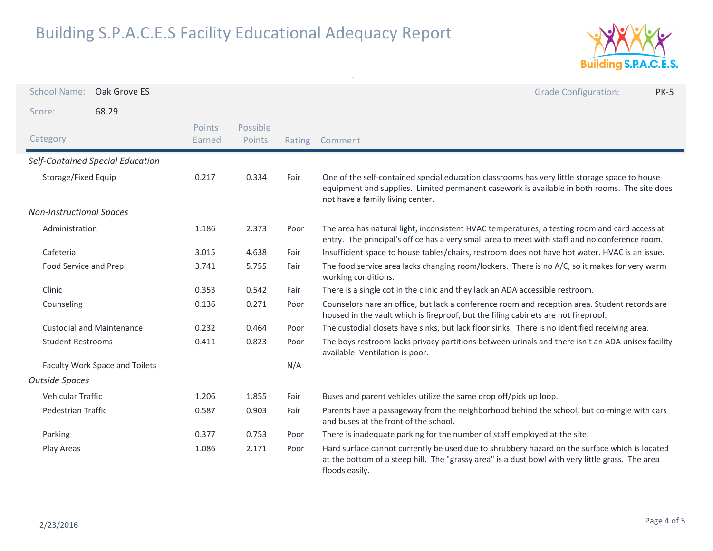

| <b>School Name:</b>             | Oak Grove ES                     |                  |                    |        | <b>Grade Configuration:</b><br><b>PK-5</b>                                                                                                                                                                                        |
|---------------------------------|----------------------------------|------------------|--------------------|--------|-----------------------------------------------------------------------------------------------------------------------------------------------------------------------------------------------------------------------------------|
| Score:                          | 68.29                            |                  |                    |        |                                                                                                                                                                                                                                   |
| Category                        |                                  | Points<br>Earned | Possible<br>Points | Rating | Comment                                                                                                                                                                                                                           |
|                                 | Self-Contained Special Education |                  |                    |        |                                                                                                                                                                                                                                   |
| Storage/Fixed Equip             |                                  | 0.217            | 0.334              | Fair   | One of the self-contained special education classrooms has very little storage space to house<br>equipment and supplies. Limited permanent casework is available in both rooms. The site does<br>not have a family living center. |
| <b>Non-Instructional Spaces</b> |                                  |                  |                    |        |                                                                                                                                                                                                                                   |
| Administration                  |                                  | 1.186            | 2.373              | Poor   | The area has natural light, inconsistent HVAC temperatures, a testing room and card access at<br>entry. The principal's office has a very small area to meet with staff and no conference room.                                   |
| Cafeteria                       |                                  | 3.015            | 4.638              | Fair   | Insufficient space to house tables/chairs, restroom does not have hot water. HVAC is an issue.                                                                                                                                    |
| Food Service and Prep           |                                  | 3.741            | 5.755              | Fair   | The food service area lacks changing room/lockers. There is no A/C, so it makes for very warm<br>working conditions.                                                                                                              |
| Clinic                          |                                  | 0.353            | 0.542              | Fair   | There is a single cot in the clinic and they lack an ADA accessible restroom.                                                                                                                                                     |
| Counseling                      |                                  | 0.136            | 0.271              | Poor   | Counselors hare an office, but lack a conference room and reception area. Student records are<br>housed in the vault which is fireproof, but the filing cabinets are not fireproof.                                               |
|                                 | <b>Custodial and Maintenance</b> | 0.232            | 0.464              | Poor   | The custodial closets have sinks, but lack floor sinks. There is no identified receiving area.                                                                                                                                    |
| <b>Student Restrooms</b>        |                                  | 0.411            | 0.823              | Poor   | The boys restroom lacks privacy partitions between urinals and there isn't an ADA unisex facility<br>available. Ventilation is poor.                                                                                              |
| Faculty Work Space and Toilets  |                                  |                  |                    | N/A    |                                                                                                                                                                                                                                   |
| <b>Outside Spaces</b>           |                                  |                  |                    |        |                                                                                                                                                                                                                                   |
| <b>Vehicular Traffic</b>        |                                  | 1.206            | 1.855              | Fair   | Buses and parent vehicles utilize the same drop off/pick up loop.                                                                                                                                                                 |
| <b>Pedestrian Traffic</b>       |                                  | 0.587            | 0.903              | Fair   | Parents have a passageway from the neighborhood behind the school, but co-mingle with cars<br>and buses at the front of the school.                                                                                               |
| Parking                         |                                  | 0.377            | 0.753              | Poor   | There is inadequate parking for the number of staff employed at the site.                                                                                                                                                         |
| Play Areas                      |                                  | 1.086            | 2.171              | Poor   | Hard surface cannot currently be used due to shrubbery hazard on the surface which is located<br>at the bottom of a steep hill. The "grassy area" is a dust bowl with very little grass. The area<br>floods easily.               |